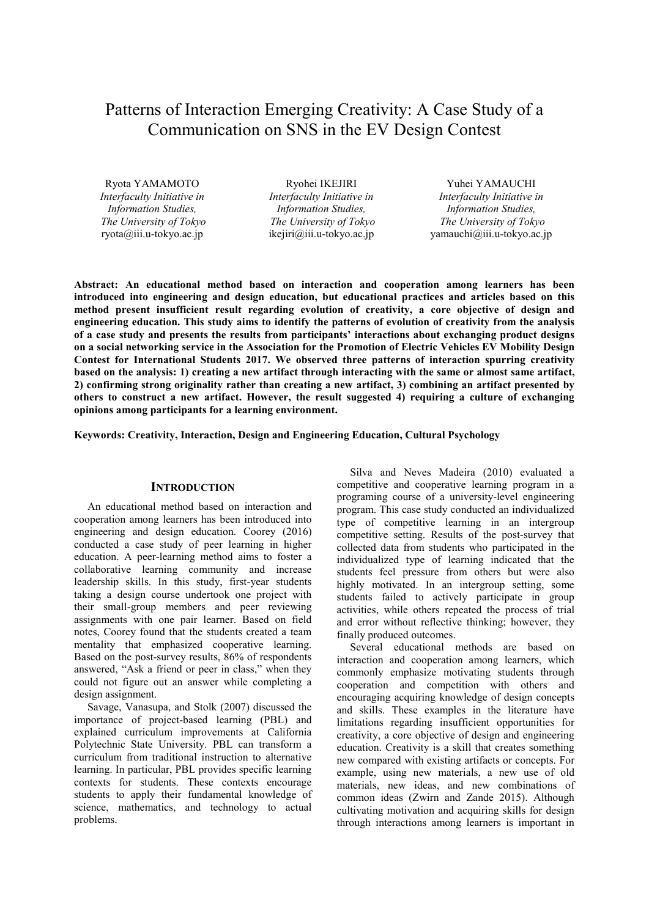# Patterns of Interaction Emerging Creativity: A Case Study of a Communication on SNS in the EV Design Contest

*Interfaculty Initiative in Information Studies, The University of Tokyo* *Interfaculty Initiative in Information Studies, The University of Tokyo*

Ryota YAMAMOTO Ryohei IKEJIRI Yuhei YAMAUCHI *Interfaculty Initiative in Information Studies, The University of Tokyo*   $vanachi@iii.u-tokyo.ac.jp$ 

**Abstract: An educational method based on interaction and cooperation among learners has been introduced into engineering and design education, but educational practices and articles based on this method present insufficient result regarding evolution of creativity, a core objective of design and engineering education. This study aims to identify the patterns of evolution of creativity from the analysis of a case study and presents the results from participants' interactions about exchanging product designs on a social networking service in the Association for the Promotion of Electric Vehicles EV Mobility Design Contest for International Students 2017. We observed three patterns of interaction spurring creativity based on the analysis: 1) creating a new artifact through interacting with the same or almost same artifact, 2) confirming strong originality rather than creating a new artifact, 3) combining an artifact presented by others to construct a new artifact. However, the result suggested 4) requiring a culture of exchanging opinions among participants for a learning environment.** 

**Keywords: Creativity, Interaction, Design and Engineering Education, Cultural Psychology** 

#### **INTRODUCTION**

An educational method based on interaction and cooperation among learners has been introduced into engineering and design education. Coorey (2016) conducted a case study of peer learning in higher education. A peer-learning method aims to foster a collaborative learning community and increase leadership skills. In this study, first-year students taking a design course undertook one project with their small-group members and peer reviewing assignments with one pair learner. Based on field notes, Coorey found that the students created a team mentality that emphasized cooperative learning. Based on the post-survey results, 86% of respondents answered, "Ask a friend or peer in class," when they could not figure out an answer while completing a design assignment.

Savage, Vanasupa, and Stolk (2007) discussed the importance of project-based learning (PBL) and explained curriculum improvements at California Polytechnic State University. PBL can transform a curriculum from traditional instruction to alternative learning. In particular, PBL provides specific learning contexts for students. These contexts encourage students to apply their fundamental knowledge of science, mathematics, and technology to actual problems.

Silva and Neves Madeira (2010) evaluated a competitive and cooperative learning program in a programing course of a university-level engineering program. This case study conducted an individualized type of competitive learning in an intergroup competitive setting. Results of the post-survey that collected data from students who participated in the individualized type of learning indicated that the students feel pressure from others but were also highly motivated. In an intergroup setting, some students failed to actively participate in group activities, while others repeated the process of trial and error without reflective thinking; however, they finally produced outcomes.

Several educational methods are based on interaction and cooperation among learners, which commonly emphasize motivating students through cooperation and competition with others and encouraging acquiring knowledge of design concepts and skills. These examples in the literature have limitations regarding insufficient opportunities for creativity, a core objective of design and engineering education. Creativity is a skill that creates something new compared with existing artifacts or concepts. For example, using new materials, a new use of old materials, new ideas, and new combinations of common ideas (Zwirn and Zande 2015). Although cultivating motivation and acquiring skills for design through interactions among learners is important in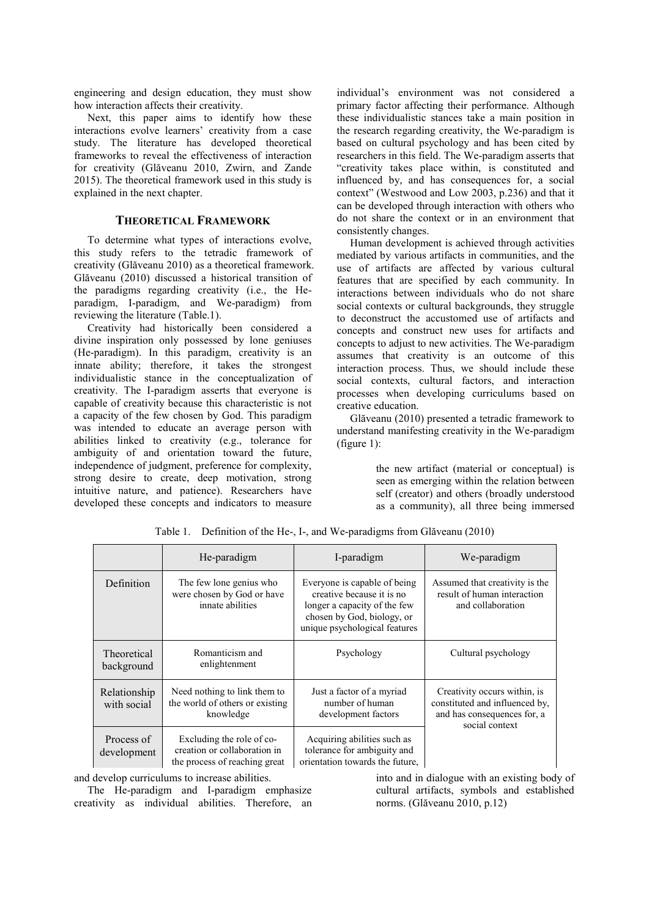engineering and design education, they must show how interaction affects their creativity.

Next, this paper aims to identify how these interactions evolve learners' creativity from a case study. The literature has developed theoretical frameworks to reveal the effectiveness of interaction for creativity (Glăveanu 2010, Zwirn, and Zande 2015). The theoretical framework used in this study is explained in the next chapter.

## **THEORETICAL FRAMEWORK**

To determine what types of interactions evolve, this study refers to the tetradic framework of creativity (Glăveanu 2010) as a theoretical framework. Glăveanu (2010) discussed a historical transition of the paradigms regarding creativity (i.e., the Heparadigm, I-paradigm, and We-paradigm) from reviewing the literature (Table.1).

Creativity had historically been considered a divine inspiration only possessed by lone geniuses (He-paradigm). In this paradigm, creativity is an innate ability; therefore, it takes the strongest individualistic stance in the conceptualization of creativity. The I-paradigm asserts that everyone is capable of creativity because this characteristic is not a capacity of the few chosen by God. This paradigm was intended to educate an average person with abilities linked to creativity (e.g., tolerance for ambiguity of and orientation toward the future, independence of judgment, preference for complexity, strong desire to create, deep motivation, strong intuitive nature, and patience). Researchers have developed these concepts and indicators to measure

individual's environment was not considered a primary factor affecting their performance. Although these individualistic stances take a main position in the research regarding creativity, the We-paradigm is based on cultural psychology and has been cited by researchers in this field. The We-paradigm asserts that "creativity takes place within, is constituted and influenced by, and has consequences for, a social context" (Westwood and Low 2003, p.236) and that it can be developed through interaction with others who do not share the context or in an environment that consistently changes.

Human development is achieved through activities mediated by various artifacts in communities, and the use of artifacts are affected by various cultural features that are specified by each community. In interactions between individuals who do not share social contexts or cultural backgrounds, they struggle to deconstruct the accustomed use of artifacts and concepts and construct new uses for artifacts and concepts to adjust to new activities. The We-paradigm assumes that creativity is an outcome of this interaction process. Thus, we should include these social contexts, cultural factors, and interaction processes when developing curriculums based on creative education.

Glăveanu (2010) presented a tetradic framework to understand manifesting creativity in the We-paradigm (figure 1):

> the new artifact (material or conceptual) is seen as emerging within the relation between self (creator) and others (broadly understood as a community), all three being immersed

|                                                                                                                         | He-paradigm                                                                  | I-paradigm                                                                                                                                               | We-paradigm                                                                                                     |  |
|-------------------------------------------------------------------------------------------------------------------------|------------------------------------------------------------------------------|----------------------------------------------------------------------------------------------------------------------------------------------------------|-----------------------------------------------------------------------------------------------------------------|--|
| Definition                                                                                                              | The few lone genius who<br>were chosen by God or have<br>innate abilities    | Everyone is capable of being<br>creative because it is no<br>longer a capacity of the few<br>chosen by God, biology, or<br>unique psychological features | Assumed that creativity is the<br>result of human interaction<br>and collaboration                              |  |
| Theoretical<br>background                                                                                               | Romanticism and<br>enlightenment                                             | Psychology                                                                                                                                               | Cultural psychology                                                                                             |  |
| Relationship<br>with social                                                                                             | Need nothing to link them to<br>the world of others or existing<br>knowledge | Just a factor of a myriad<br>number of human<br>development factors                                                                                      | Creativity occurs within, is<br>constituted and influenced by,<br>and has consequences for, a<br>social context |  |
| Process of<br>Excluding the role of co-<br>creation or collaboration in<br>development<br>the process of reaching great |                                                                              | Acquiring abilities such as<br>tolerance for ambiguity and<br>orientation towards the future,                                                            |                                                                                                                 |  |

Table 1. Definition of the He-, I-, and We-paradigms from Glăveanu (2010)

and develop curriculums to increase abilities.

The He-paradigm and I-paradigm emphasize creativity as individual abilities. Therefore, an

into and in dialogue with an existing body of cultural artifacts, symbols and established norms. (Glăveanu 2010, p.12)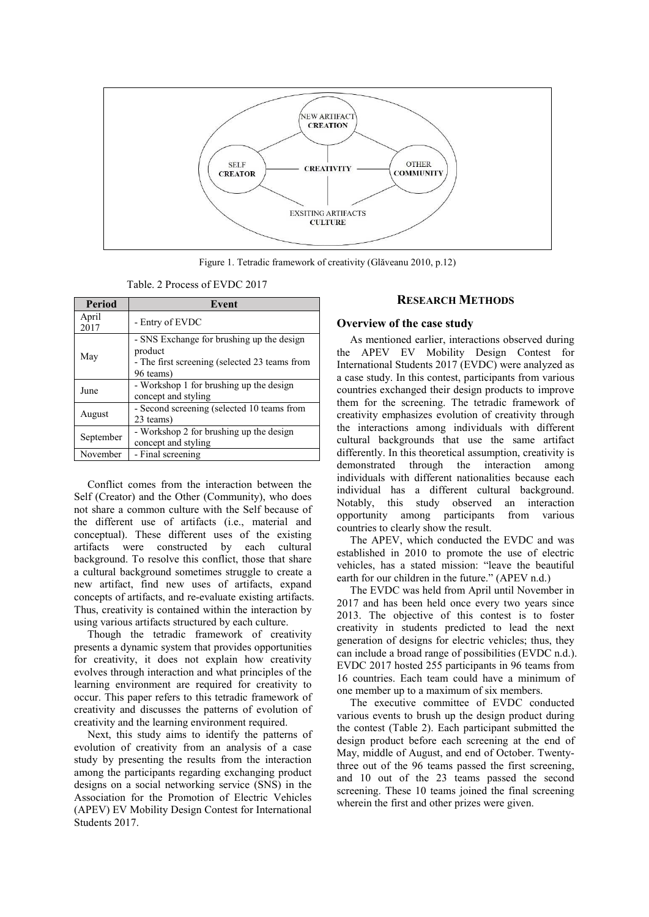

Figure 1. Tetradic framework of creativity (Glăveanu 2010, p.12)

Table. 2 Process of EVDC 2017

| <b>Period</b> | Event                                                                                                              |  |  |  |
|---------------|--------------------------------------------------------------------------------------------------------------------|--|--|--|
| April<br>2017 | - Entry of EVDC                                                                                                    |  |  |  |
| May           | - SNS Exchange for brushing up the design<br>product<br>- The first screening (selected 23 teams from<br>96 teams) |  |  |  |
| June          | - Workshop 1 for brushing up the design<br>concept and styling                                                     |  |  |  |
| August        | - Second screening (selected 10 teams from<br>23 teams)                                                            |  |  |  |
| September     | - Workshop 2 for brushing up the design<br>concept and styling                                                     |  |  |  |
| November      | - Final screening                                                                                                  |  |  |  |

Conflict comes from the interaction between the Self (Creator) and the Other (Community), who does not share a common culture with the Self because of the different use of artifacts (i.e., material and conceptual). These different uses of the existing artifacts were constructed by each cultural background. To resolve this conflict, those that share a cultural background sometimes struggle to create a new artifact, find new uses of artifacts, expand concepts of artifacts, and re-evaluate existing artifacts. Thus, creativity is contained within the interaction by using various artifacts structured by each culture.

Though the tetradic framework of creativity presents a dynamic system that provides opportunities for creativity, it does not explain how creativity evolves through interaction and what principles of the learning environment are required for creativity to occur. This paper refers to this tetradic framework of creativity and discusses the patterns of evolution of creativity and the learning environment required.

Next, this study aims to identify the patterns of evolution of creativity from an analysis of a case study by presenting the results from the interaction among the participants regarding exchanging product designs on a social networking service (SNS) in the Association for the Promotion of Electric Vehicles (APEV) EV Mobility Design Contest for International Students 2017.

#### **RESEARCH METHODS**

#### **Overview of the case study**

As mentioned earlier, interactions observed during the APEV EV Mobility Design Contest for International Students 2017 (EVDC) were analyzed as a case study. In this contest, participants from various countries exchanged their design products to improve them for the screening. The tetradic framework of creativity emphasizes evolution of creativity through the interactions among individuals with different cultural backgrounds that use the same artifact differently. In this theoretical assumption, creativity is demonstrated through the interaction among individuals with different nationalities because each individual has a different cultural background. Notably, this study observed an interaction opportunity among participants from various countries to clearly show the result.

The APEV, which conducted the EVDC and was established in 2010 to promote the use of electric vehicles, has a stated mission: "leave the beautiful earth for our children in the future." (APEV n.d.)

The EVDC was held from April until November in 2017 and has been held once every two years since 2013. The objective of this contest is to foster creativity in students predicted to lead the next generation of designs for electric vehicles; thus, they can include a broad range of possibilities (EVDC n.d.). EVDC 2017 hosted 255 participants in 96 teams from 16 countries. Each team could have a minimum of one member up to a maximum of six members.

The executive committee of EVDC conducted various events to brush up the design product during the contest (Table 2). Each participant submitted the design product before each screening at the end of May, middle of August, and end of October. Twentythree out of the 96 teams passed the first screening, and 10 out of the 23 teams passed the second screening. These 10 teams joined the final screening wherein the first and other prizes were given.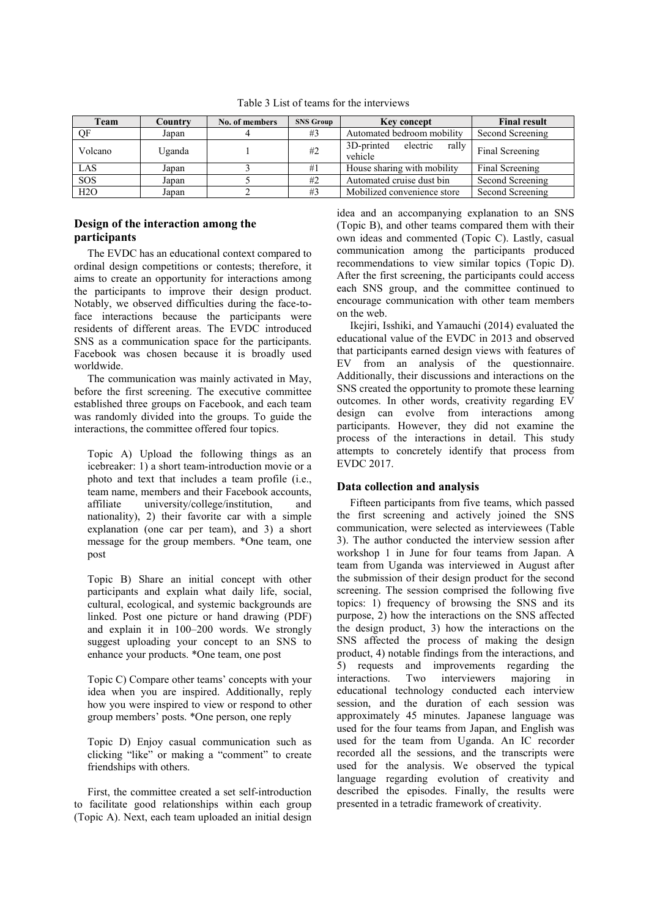| Team    | Country | No. of members | <b>SNS Group</b> | <b>Key concept</b>                         | <b>Final result</b> |
|---------|---------|----------------|------------------|--------------------------------------------|---------------------|
| OF      | Japan   |                | #3               | Automated bedroom mobility                 | Second Screening    |
| Volcano | Uganda  |                | #2               | 3D-printed<br>electric<br>rally<br>vehicle | Final Screening     |
| LAS     | Japan   |                | #1               | House sharing with mobility                | Final Screening     |
| SOS     | Japan   |                | #2               | Automated cruise dust bin                  | Second Screening    |
| H2O     | Japan   |                | #3               | Mobilized convenience store                | Second Screening    |

Table 3 List of teams for the interviews

## **Design of the interaction among the participants**

The EVDC has an educational context compared to ordinal design competitions or contests; therefore, it aims to create an opportunity for interactions among the participants to improve their design product. Notably, we observed difficulties during the face-toface interactions because the participants were residents of different areas. The EVDC introduced SNS as a communication space for the participants. Facebook was chosen because it is broadly used worldwide.

The communication was mainly activated in May, before the first screening. The executive committee established three groups on Facebook, and each team was randomly divided into the groups. To guide the interactions, the committee offered four topics.

Topic A) Upload the following things as an icebreaker: 1) a short team-introduction movie or a photo and text that includes a team profile (i.e., team name, members and their Facebook accounts, affiliate university/college/institution, nationality), 2) their favorite car with a simple explanation (one car per team), and 3) a short message for the group members. \*One team, one post

Topic B) Share an initial concept with other participants and explain what daily life, social, cultural, ecological, and systemic backgrounds are linked. Post one picture or hand drawing (PDF) and explain it in 100–200 words. We strongly suggest uploading your concept to an SNS to enhance your products. \*One team, one post

Topic C) Compare other teams' concepts with your idea when you are inspired. Additionally, reply how you were inspired to view or respond to other group members' posts. \*One person, one reply

Topic D) Enjoy casual communication such as clicking "like" or making a "comment" to create friendships with others.

First, the committee created a set self-introduction to facilitate good relationships within each group (Topic A). Next, each team uploaded an initial design

idea and an accompanying explanation to an SNS (Topic B), and other teams compared them with their own ideas and commented (Topic C). Lastly, casual communication among the participants produced recommendations to view similar topics (Topic D). After the first screening, the participants could access each SNS group, and the committee continued to encourage communication with other team members on the web.

Ikejiri, Isshiki, and Yamauchi (2014) evaluated the educational value of the EVDC in 2013 and observed that participants earned design views with features of EV from an analysis of the questionnaire. Additionally, their discussions and interactions on the SNS created the opportunity to promote these learning outcomes. In other words, creativity regarding EV design can evolve from interactions among participants. However, they did not examine the process of the interactions in detail. This study attempts to concretely identify that process from EVDC 2017.

## **Data collection and analysis**

Fifteen participants from five teams, which passed the first screening and actively joined the SNS communication, were selected as interviewees (Table 3). The author conducted the interview session after workshop 1 in June for four teams from Japan. A team from Uganda was interviewed in August after the submission of their design product for the second screening. The session comprised the following five topics: 1) frequency of browsing the SNS and its purpose, 2) how the interactions on the SNS affected the design product, 3) how the interactions on the SNS affected the process of making the design product, 4) notable findings from the interactions, and 5) requests and improvements regarding the interactions. Two interviewers majoring in educational technology conducted each interview session, and the duration of each session was approximately 45 minutes. Japanese language was used for the four teams from Japan, and English was used for the team from Uganda. An IC recorder recorded all the sessions, and the transcripts were used for the analysis. We observed the typical language regarding evolution of creativity and described the episodes. Finally, the results were presented in a tetradic framework of creativity.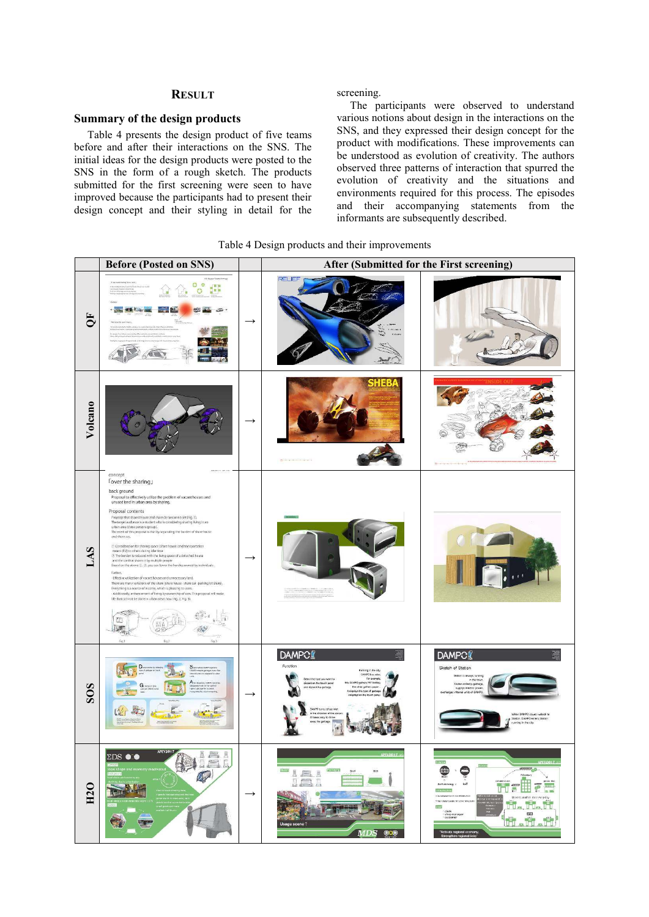## **RESULT**

#### **Summary of the design products**

Table 4 presents the design product of five teams before and after their interactions on the SNS. The initial ideas for the design products were posted to the SNS in the form of a rough sketch. The products submitted for the first screening were seen to have improved because the participants had to present their design concept and their styling in detail for the screening.

The participants were observed to understand various notions about design in the interactions on the SNS, and they expressed their design concept for the product with modifications. These improvements can be understood as evolution of creativity. The authors observed three patterns of interaction that spurred the evolution of creativity and the situations and environments required for this process. The episodes and their accompanying statements from the informants are subsequently described.

Table 4 Design products and their improvements

|                         | <b>Before (Posted on SNS)</b>                                                                                                                                                                                                                                                                                                                                                                                                                                                                                                                                                                                                                                                                                                                                                                                                                                                                                                                                                                                                                                                                                                                                                                                                                |               | After (Submitted for the First screening)                                                                                                                                                                                                                                                                                                                      |                                                                                                                                                                                                                                                                                                                                                                                                    |  |  |
|-------------------------|----------------------------------------------------------------------------------------------------------------------------------------------------------------------------------------------------------------------------------------------------------------------------------------------------------------------------------------------------------------------------------------------------------------------------------------------------------------------------------------------------------------------------------------------------------------------------------------------------------------------------------------------------------------------------------------------------------------------------------------------------------------------------------------------------------------------------------------------------------------------------------------------------------------------------------------------------------------------------------------------------------------------------------------------------------------------------------------------------------------------------------------------------------------------------------------------------------------------------------------------|---------------|----------------------------------------------------------------------------------------------------------------------------------------------------------------------------------------------------------------------------------------------------------------------------------------------------------------------------------------------------------------|----------------------------------------------------------------------------------------------------------------------------------------------------------------------------------------------------------------------------------------------------------------------------------------------------------------------------------------------------------------------------------------------------|--|--|
| $\overline{\mathbf{C}}$ | 00<br>gen.<br>o<br>$\frac{1}{2}$ $\rightarrow$                                                                                                                                                                                                                                                                                                                                                                                                                                                                                                                                                                                                                                                                                                                                                                                                                                                                                                                                                                                                                                                                                                                                                                                               | $\rightarrow$ | <b>RELIEF</b><br>bishes.                                                                                                                                                                                                                                                                                                                                       |                                                                                                                                                                                                                                                                                                                                                                                                    |  |  |
| Volcano                 |                                                                                                                                                                                                                                                                                                                                                                                                                                                                                                                                                                                                                                                                                                                                                                                                                                                                                                                                                                                                                                                                                                                                                                                                                                              | $\rightarrow$ | в<br>Product of the control of the Party                                                                                                                                                                                                                                                                                                                       |                                                                                                                                                                                                                                                                                                                                                                                                    |  |  |
| LAS                     | concept<br><b>Tover the sharing</b><br>back ground<br>Proposal to effectively utilize the problem of vacant houses and<br>unused land in urban area by sharing.<br>Proposal contents<br>Proposal that shared house and share car became a set (Fig. 1).<br>The target audience is a student who is considering sharing living in an<br>urban area (three persons group).<br>The ment of this proposal is that by separating the burden of share house.<br>and share car.<br>(E) Consideration for sharing space (share house) and transportation<br>means (EV) to others during idle time<br>(2) The burden is reduced with the living space of a detached house<br>and the car that shares it by multiple people<br>Based on the above (1), (2), you can lower the hurdles owned by individuals.<br>further.<br>-Effective utilization of vacant houses and unnecessary land.<br>There are many variations of the share (share house - share car - parking lot share).<br>Everything is a source of income, which is pleasing to users.<br>- Additionally, enhancement of living by ownership of cars. This proposal will make<br>life that can not be done in urban areas now (Fig. 2, Fig. 3).<br>œ<br>ri i<br>$f_{10.3}$<br>fig.<br>fig. | $\rightarrow$ |                                                                                                                                                                                                                                                                                                                                                                |                                                                                                                                                                                                                                                                                                                                                                                                    |  |  |
| SOS                     | G                                                                                                                                                                                                                                                                                                                                                                                                                                                                                                                                                                                                                                                                                                                                                                                                                                                                                                                                                                                                                                                                                                                                                                                                                                            | $\rightarrow$ | <b>DAMPC</b><br>Function<br>Running in the oty,<br>DAMPO has relent<br>For example<br>Select the type you want to<br>discord on the touch panel<br>this DAMPO gathers PET bottles<br>the other gethers paper<br>and discard the garbage<br>it displays the type of garb<br>QAMPO turns refuse inlet<br>in the direction of the pergo<br>It makes easy to throw | <b>DAMPC</b><br>Sketch of Station<br>Station is always numing<br>in the town<br>Station collects gerbage<br>supplys electric power<br>exchanges internal units of DAMPO<br>When DAMPO issues rubbish to<br>Station, DAMPO enters Station.<br>ruoning in the city.                                                                                                                                  |  |  |
| H <sub>20</sub>         | <b>APEV2017</b><br>倒量<br><b>ZDS</b> $\bullet\bullet$<br>Q<br>Beach of<br><b>Charles</b>                                                                                                                                                                                                                                                                                                                                                                                                                                                                                                                                                                                                                                                                                                                                                                                                                                                                                                                                                                                                                                                                                                                                                      | $\rightarrow$ | <b>IA</b><br>Usage scene 1<br><b>MDS 808</b>                                                                                                                                                                                                                                                                                                                   | Salabor<br>PEL2017<br>$\bigcirc$<br>$\ddot{\mathbf{Q}}$<br><b>STATION</b><br><b>Warner</b><br>H<br>busing app<br>IoT<br>Self-driving x<br>$\frac{1}{2}$<br>$\mathbf{u}^*$<br>10000<br>missiliusture<br>$m = 100$<br>to mother store every day<br>i il. i il. i i<br>- clark<br>- shop manager<br>- customer<br>$_{\rm HII}$<br>th din th<br>'Activate regional econom<br>Strengthen regional links |  |  |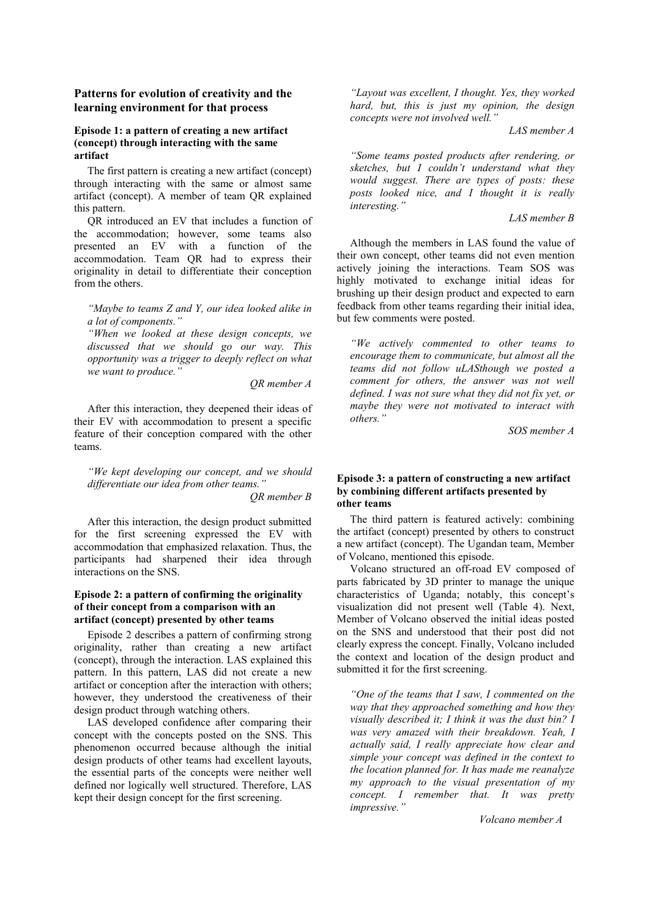#### **Patterns for evolution of creativity and the learning environment for that process**

#### **Episode 1: a pattern of creating a new artifact (concept) through interacting with the same artifact**

The first pattern is creating a new artifact (concept) through interacting with the same or almost same artifact (concept). A member of team QR explained this pattern.

QR introduced an EV that includes a function of the accommodation; however, some teams also presented an EV with a function of the accommodation. Team QR had to express their originality in detail to differentiate their conception from the others.

*"Maybe to teams Z and Y, our idea looked alike in a lot of components."* 

*"When we looked at these design concepts, we discussed that we should go our way. This opportunity was a trigger to deeply reflect on what we want to produce."* 

*QR member A*

After this interaction, they deepened their ideas of their EV with accommodation to present a specific feature of their conception compared with the other teams.

*"We kept developing our concept, and we should differentiate our idea from other teams."* 

*QR member B*

After this interaction, the design product submitted for the first screening expressed the EV with accommodation that emphasized relaxation. Thus, the participants had sharpened their idea through interactions on the SNS.

## **Episode 2: a pattern of confirming the originality of their concept from a comparison with an artifact (concept) presented by other teams**

Episode 2 describes a pattern of confirming strong originality, rather than creating a new artifact (concept), through the interaction. LAS explained this pattern. In this pattern, LAS did not create a new artifact or conception after the interaction with others; however, they understood the creativeness of their design product through watching others.

LAS developed confidence after comparing their concept with the concepts posted on the SNS. This phenomenon occurred because although the initial design products of other teams had excellent layouts, the essential parts of the concepts were neither well defined nor logically well structured. Therefore, LAS kept their design concept for the first screening.

*"Layout was excellent, I thought. Yes, they worked hard, but, this is just my opinion, the design concepts were not involved well."* 

*LAS member A* 

*"Some teams posted products after rendering, or sketches, but I couldn't understand what they would suggest. There are types of posts: these posts looked nice, and I thought it is really interesting."* 

*LAS member B*

Although the members in LAS found the value of their own concept, other teams did not even mention actively joining the interactions. Team SOS was highly motivated to exchange initial ideas for brushing up their design product and expected to earn feedback from other teams regarding their initial idea, but few comments were posted.

*"We actively commented to other teams to encourage them to communicate, but almost all the teams did not follow uLASthough we posted a comment for others, the answer was not well defined. I was not sure what they did not fix yet, or maybe they were not motivated to interact with others."* 

*SOS member A*

### **Episode 3: a pattern of constructing a new artifact by combining different artifacts presented by other teams**

The third pattern is featured actively: combining the artifact (concept) presented by others to construct a new artifact (concept). The Ugandan team, Member of Volcano, mentioned this episode.

Volcano structured an off-road EV composed of parts fabricated by 3D printer to manage the unique characteristics of Uganda; notably, this concept's visualization did not present well (Table 4). Next, Member of Volcano observed the initial ideas posted on the SNS and understood that their post did not clearly express the concept. Finally, Volcano included the context and location of the design product and submitted it for the first screening.

*"One of the teams that I saw, I commented on the way that they approached something and how they visually described it; I think it was the dust bin? I was very amazed with their breakdown. Yeah, I actually said, I really appreciate how clear and simple your concept was defined in the context to the location planned for. It has made me reanalyze my approach to the visual presentation of my concept. I remember that. It was pretty impressive."* 

 *Volcano member A*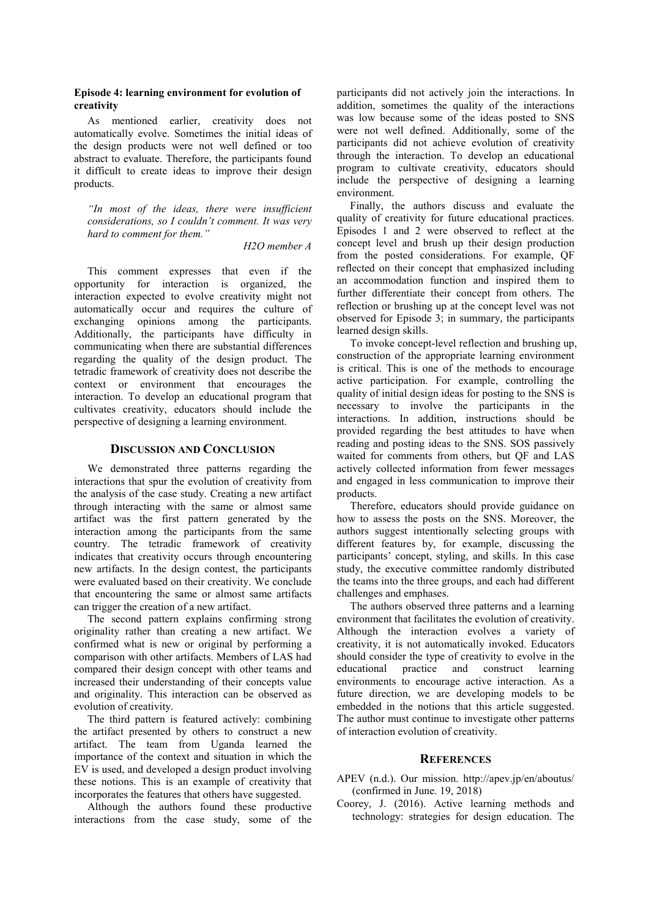## **Episode 4: learning environment for evolution of creativity**

As mentioned earlier, creativity does not automatically evolve. Sometimes the initial ideas of the design products were not well defined or too abstract to evaluate. Therefore, the participants found it difficult to create ideas to improve their design products.

*"In most of the ideas, there were insufficient considerations, so I couldn't comment. It was very hard to comment for them."* 

## *H2O member A*

This comment expresses that even if the opportunity for interaction is organized, the interaction expected to evolve creativity might not automatically occur and requires the culture of exchanging opinions among the participants. Additionally, the participants have difficulty in communicating when there are substantial differences regarding the quality of the design product. The tetradic framework of creativity does not describe the context or environment that encourages the interaction. To develop an educational program that cultivates creativity, educators should include the perspective of designing a learning environment.

#### **DISCUSSION AND CONCLUSION**

We demonstrated three patterns regarding the interactions that spur the evolution of creativity from the analysis of the case study. Creating a new artifact through interacting with the same or almost same artifact was the first pattern generated by the interaction among the participants from the same country. The tetradic framework of creativity indicates that creativity occurs through encountering new artifacts. In the design contest, the participants were evaluated based on their creativity. We conclude that encountering the same or almost same artifacts can trigger the creation of a new artifact.

The second pattern explains confirming strong originality rather than creating a new artifact. We confirmed what is new or original by performing a comparison with other artifacts. Members of LAS had compared their design concept with other teams and increased their understanding of their concepts value and originality. This interaction can be observed as evolution of creativity.

The third pattern is featured actively: combining the artifact presented by others to construct a new artifact. The team from Uganda learned the importance of the context and situation in which the  $E\vec{V}$  is used, and developed a design product involving these notions. This is an example of creativity that incorporates the features that others have suggested.

Although the authors found these productive interactions from the case study, some of the participants did not actively join the interactions. In addition, sometimes the quality of the interactions was low because some of the ideas posted to SNS were not well defined. Additionally, some of the participants did not achieve evolution of creativity through the interaction. To develop an educational program to cultivate creativity, educators should include the perspective of designing a learning environment.

Finally, the authors discuss and evaluate the quality of creativity for future educational practices. Episodes 1 and 2 were observed to reflect at the concept level and brush up their design production from the posted considerations. For example, QF reflected on their concept that emphasized including an accommodation function and inspired them to further differentiate their concept from others. The reflection or brushing up at the concept level was not observed for Episode 3; in summary, the participants learned design skills.

To invoke concept-level reflection and brushing up, construction of the appropriate learning environment is critical. This is one of the methods to encourage active participation. For example, controlling the quality of initial design ideas for posting to the SNS is necessary to involve the participants in the interactions. In addition, instructions should be provided regarding the best attitudes to have when reading and posting ideas to the SNS. SOS passively waited for comments from others, but QF and LAS actively collected information from fewer messages and engaged in less communication to improve their products.

Therefore, educators should provide guidance on how to assess the posts on the SNS. Moreover, the authors suggest intentionally selecting groups with different features by, for example, discussing the participants' concept, styling, and skills. In this case study, the executive committee randomly distributed the teams into the three groups, and each had different challenges and emphases.

The authors observed three patterns and a learning environment that facilitates the evolution of creativity. Although the interaction evolves a variety of creativity, it is not automatically invoked. Educators should consider the type of creativity to evolve in the educational practice and construct learning practice and construct learning environments to encourage active interaction. As a future direction, we are developing models to be embedded in the notions that this article suggested. The author must continue to investigate other patterns of interaction evolution of creativity.

#### **REFERENCES**

- APEV (n.d.). Our mission. http://apev.jp/en/aboutus/ (confirmed in June. 19, 2018)
- Coorey, J. (2016). Active learning methods and technology: strategies for design education. The